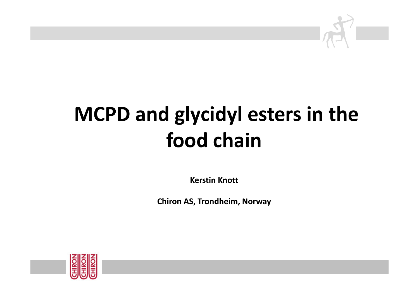

# **MCPD and glycidyl esters in the food chain**

**Kerstin Knott**

**Chiron AS, Trondheim, Norway**

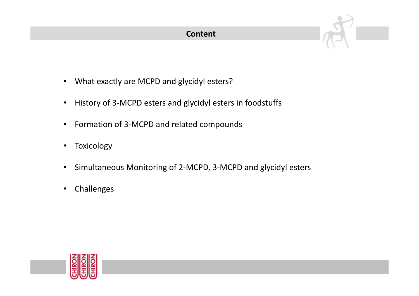#### **Content**

- What exactly are MCPD and glycidyl esters?
- $\bullet$ History of 3-MCPD esters and glycidyl esters in foodstuffs
- $\bullet$ Formation of 3-MCPD and related compounds
- $\bullet$ Toxicology
- $\bullet$ Simultaneous Monitoring of 2-MCPD, 3-MCPD and glycidyl esters
- $\bullet$ Challenges

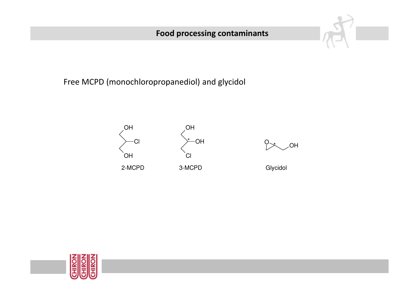### **Food processing contaminants**



Free MCPD (monochloropropanediol) and glycidol



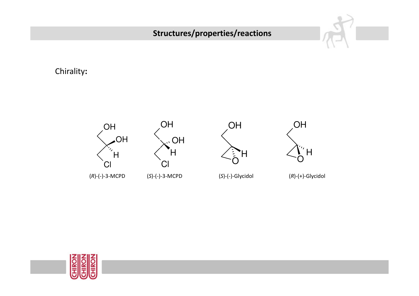## **Structures/properties/reactions**

Chirality**:**











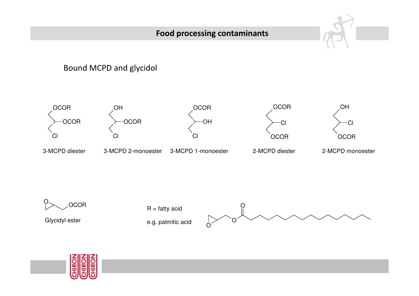#### **Food processing contaminants**

#### Bound MCPD and glycidol





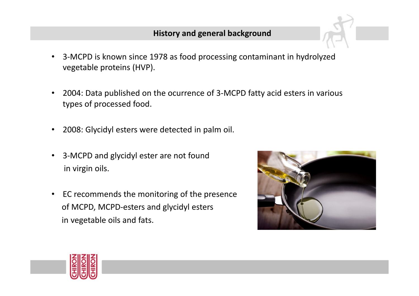#### **History and general background**

- 3-MCPD is known since 1978 as food processing contaminant in hydrolyzedvegetable proteins (HVP).
- 2004: Data published on the ocurrence of 3-MCPD fatty acid esters in various types of processed food.
- 2008: Glycidyl esters were detected in palm oil.
- $\bullet$  3-MCPD and glycidyl ester are not found in virgin oils.
- EC recommends the monitoring of the presenceof MCPD, MCPD-esters and glycidyl esters in vegetable oils and fats.



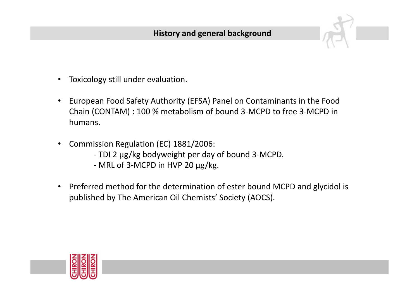- •Toxicology still under evaluation.
- $\bullet$  European Food Safety Authority (EFSA) Panel on Contaminants in the Food Chain (CONTAM) : 100 % metabolism of bound 3-MCPD to free 3-MCPD in humans.
- $\bullet$  Commission Regulation (EC) 1881/2006:
	- TDI 2 µg/kg bodyweight per day of bound 3-MCPD.
	- MRL of 3-MCPD in HVP 20 µg/kg.
- $\bullet$  Preferred method for the determination of ester bound MCPD and glycidol is published by The American Oil Chemists' Society (AOCS).

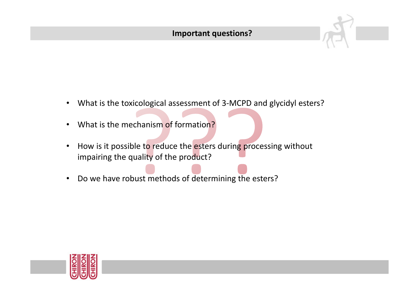

- $\bullet$ What is the toxicological assessment of 3-MCPD and glycidyl esters?
- $\bullet$ What is the mechanism of formation?
- $\bullet$ How is it possible to reduce the esters during processing without impairing the quality of the product?
- $\bullet$ Do we have robust methods of determining the esters?

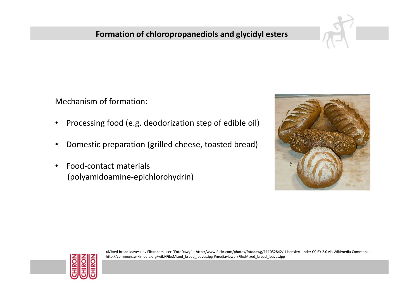#### **Formation of chloropropanediols and glycidyl esters**

Mechanism of formation:

- •Processing food (e.g. deodorization step of edible oil)
- •Domestic preparation (grilled cheese, toasted bread)
- • Food-contact materials (polyamidoamine-epichlorohydrin)





«Mixed bread loaves» av Flickr.com user "FotoDawg" – http://www.flickr.com/photos/fotodawg/111052842/. Lisensiert under CC BY 2.0 via Wikimedia Commons – http://commons.wikimedia.org/wiki/File:Mixed\_bread\_loaves.jpg #mediaviewer/File:Mixed\_bread\_loaves.jpg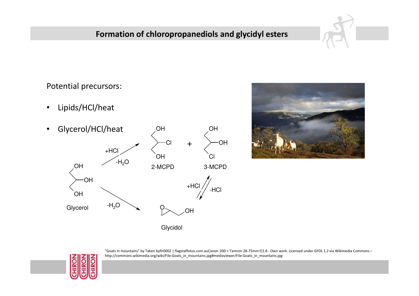#### **Formation of chloropropanediols and glycidyl esters**

Potential precursors:

- •Lipids/HCl/heat
- • Glycerol/HCl/heat OHOH





Glycidol



"Goats in mountains" by Taken byfir0002 | flagstaffotos.com.auCanon 20D + Tamron 28-75mm f/2.8 - Own work. Licensed under GFDL 1.2 via Wikimedia Commons – http://commons.wikimedia.org/wiki/File:Goats\_in\_mountains.jpg#mediaviewer/File:Goats\_in\_mountains.jpg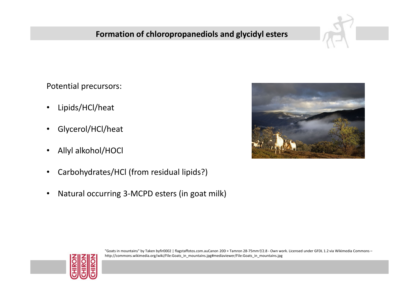#### **Formation of chloropropanediols and glycidyl esters**

Potential precursors:

- $\bullet$ Lipids/HCl/heat
- •Glycerol/HCl/heat
- •Allyl alkohol/HOCl
- •Carbohydrates/HCl (from residual lipids?)
- $\bullet$ Natural occurring 3-MCPD esters (in goat milk)





"Goats in mountains" by Taken byfir0002 | flagstaffotos.com.auCanon 20D + Tamron 28-75mm f/2.8 - Own work. Licensed under GFDL 1.2 via Wikimedia Commons – http://commons.wikimedia.org/wiki/File:Goats\_in\_mountains.jpg#mediaviewer/File:Goats\_in\_mountains.jpg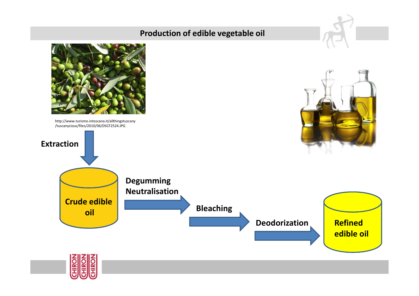#### **Production of edible vegetable oil**

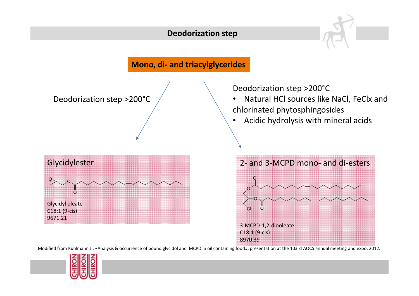#### **Deodorization step**



Modified from Kuhlmann J., «Analysis & occurrence of bound glycidol and MCPD in oil containing food», presentation at the 103rd AOCS annual meeting and expo, 2012.

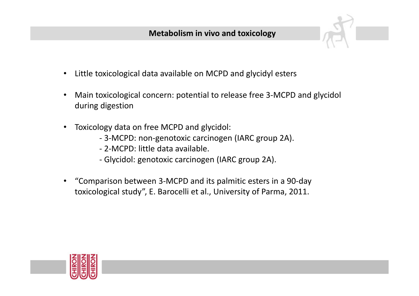- $\bullet$ Little toxicological data available on MCPD and glycidyl esters
- $\bullet$  Main toxicological concern: potential to release free 3-MCPD and glycidol during digestion
- $\bullet$  Toxicology data on free MCPD and glycidol:
	- 3-MCPD: non-genotoxic carcinogen (IARC group 2A).
	- 2-MCPD: little data available.
	- Glycidol: genotoxic carcinogen (IARC group 2A).
- $\bullet$  "Comparison between 3-MCPD and its palmitic esters in a 90-day toxicological study", E. Barocelli et al., University of Parma, 2011.

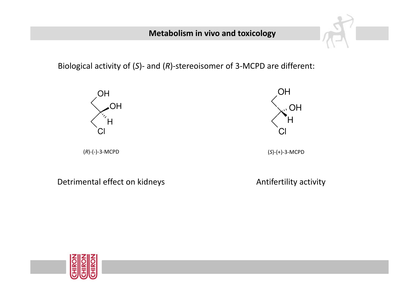#### **Metabolism in vivo and toxicology**

Biological activity of ( *<sup>S</sup>*)- and ( *<sup>R</sup>*)-stereoisomer of 3-MCPD are different:



Detrimental effect on kidneys and a settle and the extreme particle in the Detrimental effect on kidneys

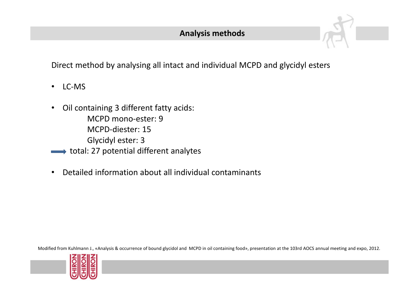

- LC-MS
- • Oil containing 3 different fatty acids: MCPD mono-ester: 9 MCPD-diester: 15Glycidyl ester: 3
- total: 27 potential different analytes
- •Detailed information about all individual contaminants

Modified from Kuhlmann J., «Analysis & occurrence of bound glycidol and MCPD in oil containing food», presentation at the 103rd AOCS annual meeting and expo, 2012.

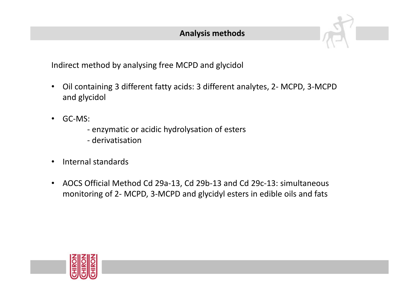

Indirect method by analysing free MCPD and glycidol

- $\bullet$  Oil containing 3 different fatty acids: 3 different analytes, 2- MCPD, 3-MCPD and glycidol
- $\bullet$  GC-MS:
	- enzymatic or acidic hydrolysation of esters
	- derivatisation
- •Internal standards
- • AOCS Official Method Cd 29a-13, Cd 29b-13 and Cd 29c-13: simultaneous monitoring of 2- MCPD, 3-MCPD and glycidyl esters in edible oils and fats

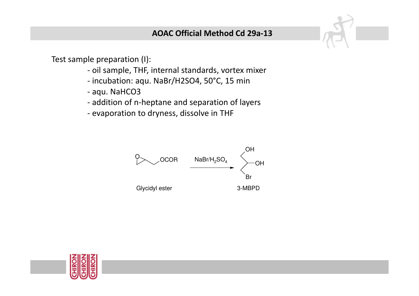

Test sample preparation (I):

- oil sample, THF, internal standards, vortex mixer
- incubation: aqu. NaBr/H2SO4, 50°C, 15 min
- aqu. NaHCO3
- addition of n-heptane and separation of layers
- evaporation to dryness, dissolve in THF



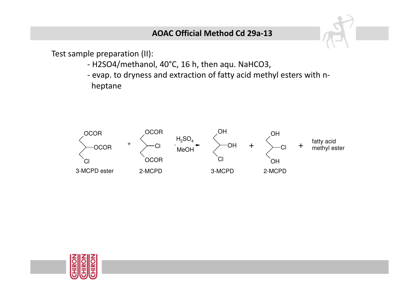#### **AOAC Official Method Cd 29a-13**

Test sample preparation (II):

- H2SO4/methanol, 40°C, 16 h, then aqu. NaHCO3,
- evap. to dryness and extraction of fatty acid methyl esters with nheptane



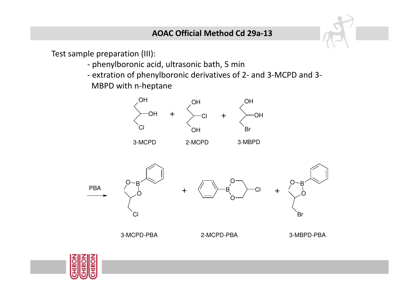Test sample preparation (III):

- phenylboronic acid, ultrasonic bath, 5 min
- extration of phenylboronic derivatives of 2- and 3-MCPD and 3- MBPD with n-heptane



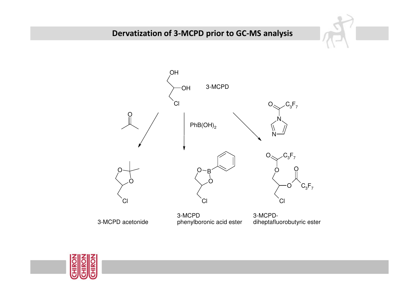#### **Dervatization of 3-MCPD prior to GC-MS analysis**



3-MCPD acetonide

3-MCPD phenylboronic acid ester

3-MCPDdiheptafluorobutyric ester

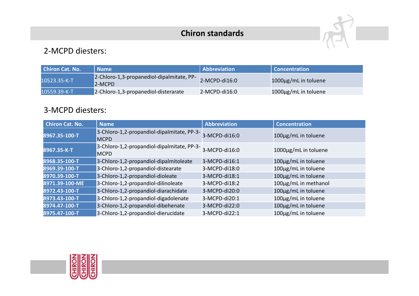#### **Chiron standards**



#### 2-MCPD diesters:

| <b>Chiron Cat. No.</b> | <b>Name</b>                                                | Abbreviation    | <b>Concentration</b>       |
|------------------------|------------------------------------------------------------|-----------------|----------------------------|
| 10523.35-K-T           | 2-Chloro-1,3-propanediol-dipalmitate, PP-<br><b>2-MCPD</b> | 2-MCPD-di16:0   | 1000 $\mu$ g/mL in toluene |
| 10559.39-K-T           | 2-Chloro-1,3-propanediol-disterarate                       | $2-MCPD-di16:0$ | 1000µg/mL in toluene       |

#### 3-MCPD diesters:

| <b>Chiron Cat. No.</b> | <b>Name</b>                                               | <b>Abbreviation</b> | <b>Concentration</b> |
|------------------------|-----------------------------------------------------------|---------------------|----------------------|
| 8967.35-100-T          | 3-Chloro-1,2-propandiol-dipalmitate, PP-3-<br><b>MCPD</b> | 3-MCPD-di16:0       | 100µg/mL in toluene  |
| 8967.35-K-T            | 3-Chloro-1,2-propandiol-dipalmitate, PP-3-<br><b>MCPD</b> | 3-MCPD-di16:0       | 1000µg/mL in toluene |
| 8968.35-100-T          | 3-Chloro-1,2-propandiol-dipalmitoleate                    | 3-MCPD-di16:1       | 100µg/mL in toluene  |
| 8969.39-100-T          | 3-Chloro-1,2-propandiol-distearate                        | 3-MCPD-di18:0       | 100µg/mL in toluene  |
| 8970.39-100-T          | 3-Chloro-1,2-propandiol-dioleate                          | 3-MCPD-di18:1       | 100µg/mL in toluene  |
| 8971.39-100-ME         | 3-Chloro-1,2-propandiol-dilinoleate                       | 3-MCPD-di18:2       | 100µg/mL in methanol |
| 8972.43-100-T          | 3-Chloro-1,2-propandiol-diarachidate                      | 3-MCPD-di20:0       | 100µg/mL in toluene  |
| 8973.43-100-T          | 3-Chloro-1,2-propandiol-digadolenate                      | 3-MCPD-di20:1       | 100µg/mL in toluene  |
| 8974.47-100-T          | 3-Chloro-1,2-propandiol-dibehenate                        | 3-MCPD-di22:0       | 100µg/mL in toluene  |
| 8975.47-100-T          | 3-Chloro-1,2-propandiol-dierucidate                       | 3-MCPD-di22:1       | 100µg/mL in toluene  |

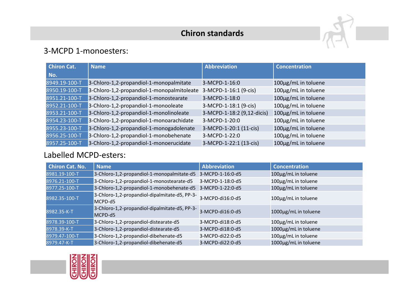### **Chiron standards**



#### 3-MCPD 1-monoesters:

| <b>Chiron Cat.</b> | <b>Name</b>                                | <b>Abbreviation</b>        | <b>Concentration</b> |
|--------------------|--------------------------------------------|----------------------------|----------------------|
| No.                |                                            |                            |                      |
| 8949.19-100-T      | 3-Chloro-1,2-propandiol-1-monopalmitate    | 3-MCPD-1-16:0              | 100µg/mL in toluene  |
| 8950.19-100-T      | 3-Chloro-1,2-propandiol-1-monopalmitoleate | 3-MCPD-1-16:1 (9-cis)      | 100µg/mL in toluene  |
| 8951.21-100-T      | 3-Chloro-1,2-propandiol-1-monostearate     | 3-MCPD-1-18:0              | 100µg/mL in toluene  |
| 8952.21-100-T      | 3-Chloro-1,2-propandiol-1-monooleate       | 3-MCPD-1-18:1 (9-cis)      | 100µg/mL in toluene  |
| 8953.21-100-T      | 3-Chloro-1,2-propandiol-1-monolinoleate    | 3-MCPD-1-18:2 (9,12-dicis) | 100µg/mL in toluene  |
| 8954.23-100-T      | 3-Chloro-1,2-propandiol-1-monoarachidate   | 3-MCPD-1-20:0              | 100µg/mL in toluene  |
| 8955.23-100-T      | 3-Chloro-1,2-propandiol-1-monogadolenate   | 3-MCPD-1-20:1 (11-cis)     | 100µg/mL in toluene  |
| 8956.25-100-T      | 3-Chloro-1,2-propandiol-1-monobehenate     | 3-MCPD-1-22:0              | 100µg/mL in toluene  |
| 8957.25-100-T      | 3-Chloro-1,2-propandiol-1-monoerucidate    | 3-MCPD-1-22:1 (13-cis)     | 100µg/mL in toluene  |

#### Labelled MCPD-esters:

| <b>Chiron Cat. No.</b> | <b>Name</b>                                              | <b>Abbreviation</b> | <b>Concentration</b> |
|------------------------|----------------------------------------------------------|---------------------|----------------------|
| 8981.19-100-T          | 3-Chloro-1,2-propandiol-1-monopalmitate-d5               | 3-MCPD-1-16:0-d5    | 100µg/mL in toluene  |
| 8976.21-100-T          | 3-Chloro-1,2-propandiol-1-monostearate-d5                | 3-MCPD-1-18:0-d5    | 100µg/mL in toluene  |
| 8977.25-100-T          | 3-Chloro-1,2-propandiol-1-monobehenate-d5                | 3-MCPD-1-22:0-d5    | 100µg/mL in toluene  |
| 8982.35-100-T          | 3-Chloro-1,2-propandiol-dipalmitate-d5, PP-3-<br>MCPD-d5 | 3-MCPD-di16:0-d5    | 100µg/mL in toluene  |
| 8982.35-K-T            | 3-Chloro-1,2-propandiol-dipalmitate-d5, PP-3-<br>MCPD-d5 | 3-MCPD-di16:0-d5    | 1000µg/mL in toluene |
| 8978.39-100-T          | 3-Chloro-1,2-propandiol-distearate-d5                    | 3-MCPD-di18:0-d5    | 100µg/mL in toluene  |
| 8978.39-K-T            | 3-Chloro-1,2-propandiol-distearate-d5                    | 3-MCPD-di18:0-d5    | 1000µg/mL in toluene |
| 8979.47-100-T          | 3-Chloro-1,2-propandiol-dibehenate-d5                    | 3-MCPD-di22:0-d5    | 100µg/mL in toluene  |
| 8979.47-K-T            | 3-Chloro-1,2-propandiol-dibehenate-d5                    | 3-MCPD-di22:0-d5    | 1000µg/mL in toluene |

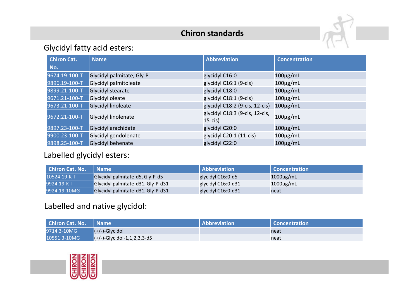#### **Chiron standards**



#### Glycidyl fatty acid esters:

| <b>Chiron Cat.</b> | <b>Name</b>               | <b>Abbreviation</b>                          | <b>Concentration</b> |
|--------------------|---------------------------|----------------------------------------------|----------------------|
| No.                |                           |                                              |                      |
| 9674.19-100-T      | Glycidyl palmitate, Gly-P | glycidyl C16:0                               | $100 \mu g/mL$       |
| 9896.19-100-T      | Glycidyl palmitoleate     | glycidyl C16:1 (9-cis)                       | $100 \mu g/mL$       |
| 9899.21-100-T      | Glycidyl stearate         | glycidyl C18:0                               | $100\mu g/mL$        |
| 9671.21-100-T      | Glycidyl oleate           | glycidyl C18:1 (9-cis)                       | $100 \mu g/mL$       |
| 9673.21-100-T      | <b>Glycidyl linoleate</b> | glycidyl C18:2 (9-cis, 12-cis)               | $100 \mu g/mL$       |
| 9672.21-100-T      | Glycidyl linolenate       | glycidyl C18:3 (9-cis, 12-cis,<br>$15$ -cis) | $100\mu g/mL$        |
| 9897.23-100-T      | Glycidyl arachidate       | glycidyl C20:0                               | $100 \mu g/mL$       |
| 9900.23-100-T      | Glycidyl gondolenate      | glycidyl C20:1 (11-cis)                      | $100 \mu g/mL$       |
| 9898.25-100-T      | Glycidyl behenate         | glycidyl C22:0                               | $100 \mu g/mL$       |

#### Labelled glycidyl esters:

| <b>Chiron Cat. No.</b> | l Name                            | <b>Abbreviation</b> | Concentration  |
|------------------------|-----------------------------------|---------------------|----------------|
| 10524.19-K-T           | Glycidyl palmitate-d5, Gly-P-d5   | glycidyl C16:0-d5   | $1000\mu$ g/mL |
| 9924.19-K-T            | Glycidyl palmitate-d31, Gly-P-d31 | glycidyl C16:0-d31  | $1000\mu$ g/mL |
| 9924.19-10MG           | Glycidyl palmitate-d31, Gly-P-d31 | glycidyl C16:0-d31  | neat           |

#### Labelled and native glycidol:

| <b>Chiron Cat. No.   Name</b> |                                | Abbreviation | Concentration |
|-------------------------------|--------------------------------|--------------|---------------|
| 9714.3-10MG                   | $(+/-)$ -Glycidol              |              | neat          |
| 10551.3-10MG                  | $(-/-)$ -Glycidol-1,1,2,3,3-d5 |              | neat          |

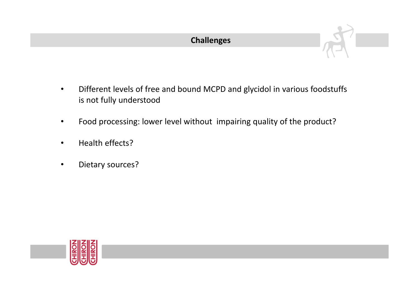

- $\bullet$  Different levels of free and bound MCPD and glycidol in various foodstuffs is not fully understood
- •Food processing: lower level without impairing quality of the product?
- •Health effects?
- •Dietary sources?